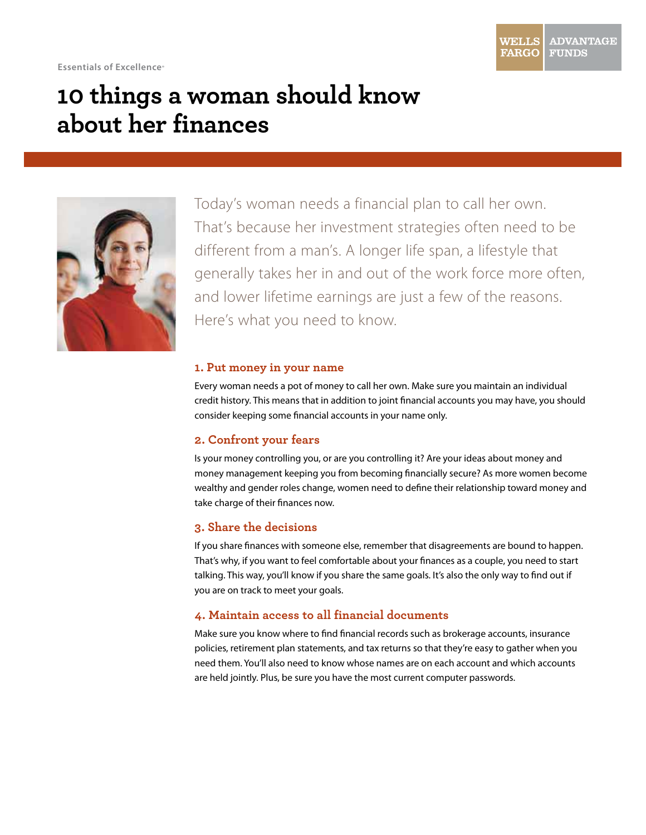

# **10 things a woman should know about her finances**



Today's woman needs a financial plan to call her own. That's because her investment strategies often need to be different from a man's. A longer life span, a lifestyle that generally takes her in and out of the work force more often, and lower lifetime earnings are just a few of the reasons. Here's what you need to know.

#### **1. Put money in your name**

Every woman needs a pot of money to call her own. Make sure you maintain an individual credit history. This means that in addition to joint financial accounts you may have, you should consider keeping some financial accounts in your name only.

#### **2. Confront your fears**

Is your money controlling you, or are you controlling it? Are your ideas about money and money management keeping you from becoming financially secure? As more women become wealthy and gender roles change, women need to define their relationship toward money and take charge of their finances now.

## **3. Share the decisions**

If you share finances with someone else, remember that disagreements are bound to happen. That's why, if you want to feel comfortable about your finances as a couple, you need to start talking. This way, you'll know if you share the same goals. It's also the only way to find out if you are on track to meet your goals.

## **4. Maintain access to all financial documents**

Make sure you know where to find financial records such as brokerage accounts, insurance policies, retirement plan statements, and tax returns so that they're easy to gather when you need them. You'll also need to know whose names are on each account and which accounts are held jointly. Plus, be sure you have the most current computer passwords.